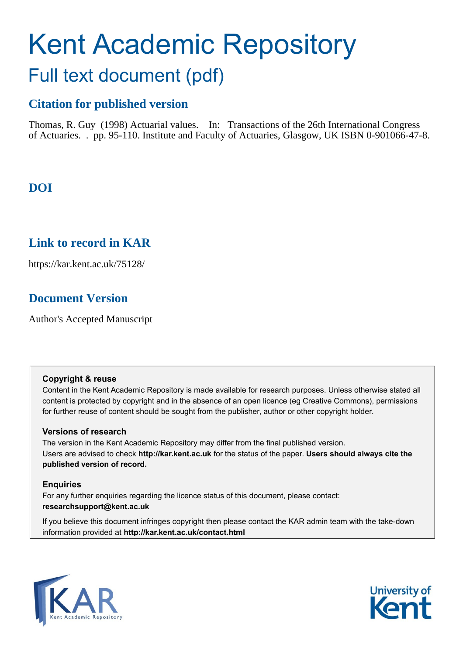# Kent Academic Repository Full text document (pdf)

# **Citation for published version**

Thomas, R. Guy (1998) Actuarial values. In: Transactions of the 26th International Congress of Actuaries. . pp. 95-110. Institute and Faculty of Actuaries, Glasgow, UK ISBN 0-901066-47-8.

# **DOI**

# **Link to record in KAR**

https://kar.kent.ac.uk/75128/

# **Document Version**

Author's Accepted Manuscript

#### **Copyright & reuse**

Content in the Kent Academic Repository is made available for research purposes. Unless otherwise stated all content is protected by copyright and in the absence of an open licence (eg Creative Commons), permissions for further reuse of content should be sought from the publisher, author or other copyright holder.

#### **Versions of research**

The version in the Kent Academic Repository may differ from the final published version. Users are advised to check **http://kar.kent.ac.uk** for the status of the paper. **Users should always cite the published version of record.**

#### **Enquiries**

For any further enquiries regarding the licence status of this document, please contact: **researchsupport@kent.ac.uk**

If you believe this document infringes copyright then please contact the KAR admin team with the take-down information provided at **http://kar.kent.ac.uk/contact.html**



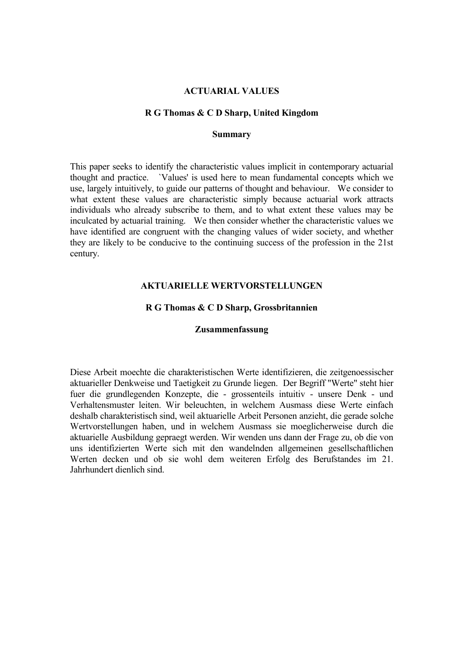#### **ACTUARIAL VALUES**

#### **R G Thomas & C D Sharp, United Kingdom**

#### **Summary**

This paper seeks to identify the characteristic values implicit in contemporary actuarial thought and practice. `Values' is used here to mean fundamental concepts which we use, largely intuitively, to guide our patterns of thought and behaviour. We consider to what extent these values are characteristic simply because actuarial work attracts individuals who already subscribe to them, and to what extent these values may be inculcated by actuarial training. We then consider whether the characteristic values we have identified are congruent with the changing values of wider society, and whether they are likely to be conducive to the continuing success of the profession in the 21st century.

#### **AKTUARIELLE WERTVORSTELLUNGEN**

#### **R G Thomas & C D Sharp, Grossbritannien**

#### **Zusammenfassung**

Diese Arbeit moechte die charakteristischen Werte identifizieren, die zeitgenoessischer aktuarieller Denkweise und Taetigkeit zu Grunde liegen. Der Begriff "Werte" steht hier fuer die grundlegenden Konzepte, die - grossenteils intuitiv - unsere Denk - und Verhaltensmuster leiten. Wir beleuchten, in welchem Ausmass diese Werte einfach deshalb charakteristisch sind, weil aktuarielle Arbeit Personen anzieht, die gerade solche Wertvorstellungen haben, und in welchem Ausmass sie moeglicherweise durch die aktuarielle Ausbildung gepraegt werden. Wir wenden uns dann der Frage zu, ob die von uns identifizierten Werte sich mit den wandelnden allgemeinen gesellschaftlichen Werten decken und ob sie wohl dem weiteren Erfolg des Berufstandes im 21. Jahrhundert dienlich sind.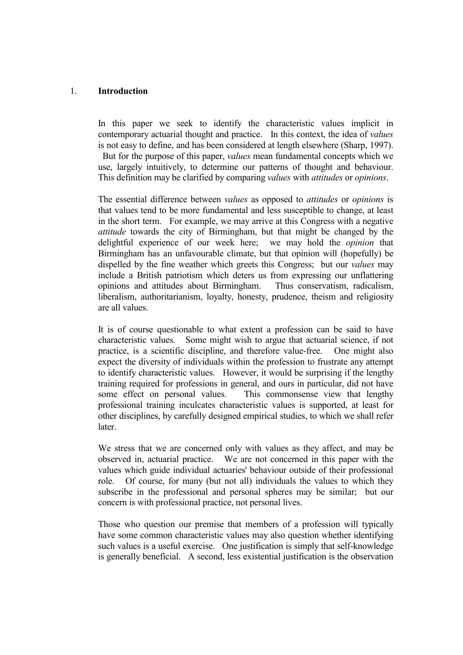#### 1. **Introduction**

 In this paper we seek to identify the characteristic values implicit in contemporary actuarial thought and practice. In this context, the idea of *values* is not easy to define, and has been considered at length elsewhere (Sharp, 1997).

 But for the purpose of this paper, *values* mean fundamental concepts which we use, largely intuitively, to determine our patterns of thought and behaviour. This definition may be clarified by comparing *values* with *attitudes* or *opinions*.

 The essential difference between *values* as opposed to *attitudes* or *opinions* is that values tend to be more fundamental and less susceptible to change, at least in the short term. For example, we may arrive at this Congress with a negative *attitude* towards the city of Birmingham, but that might be changed by the delightful experience of our week here; we may hold the *opinion* that Birmingham has an unfavourable climate, but that opinion will (hopefully) be dispelled by the fine weather which greets this Congress; but our *values* may include a British patriotism which deters us from expressing our unflattering opinions and attitudes about Birmingham. Thus conservatism, radicalism, liberalism, authoritarianism, loyalty, honesty, prudence, theism and religiosity are all values.

 It is of course questionable to what extent a profession can be said to have characteristic values. Some might wish to argue that actuarial science, if not practice, is a scientific discipline, and therefore value-free. One might also expect the diversity of individuals within the profession to frustrate any attempt to identify characteristic values. However, it would be surprising if the lengthy training required for professions in general, and ours in particular, did not have some effect on personal values. This commonsense view that lengthy professional training inculcates characteristic values is supported, at least for other disciplines, by carefully designed empirical studies, to which we shall refer later.

 We stress that we are concerned only with values as they affect, and may be observed in, actuarial practice. We are not concerned in this paper with the values which guide individual actuaries' behaviour outside of their professional role. Of course, for many (but not all) individuals the values to which they subscribe in the professional and personal spheres may be similar; but our concern is with professional practice, not personal lives.

 Those who question our premise that members of a profession will typically have some common characteristic values may also question whether identifying such values is a useful exercise. One justification is simply that self-knowledge is generally beneficial. A second, less existential justification is the observation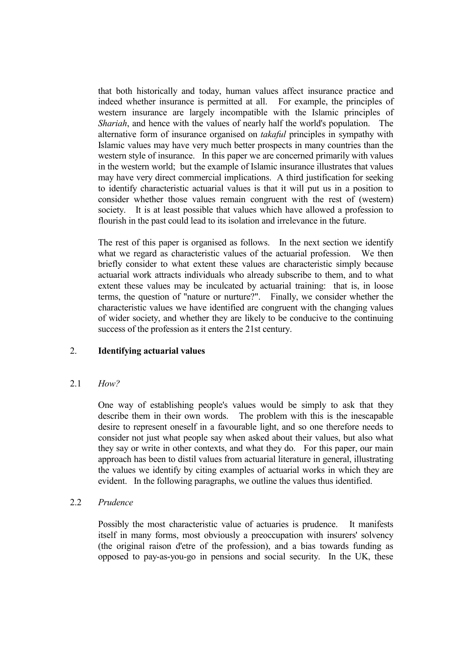that both historically and today, human values affect insurance practice and indeed whether insurance is permitted at all. For example, the principles of western insurance are largely incompatible with the Islamic principles of *Shariah*, and hence with the values of nearly half the world's population. The alternative form of insurance organised on *takaful* principles in sympathy with Islamic values may have very much better prospects in many countries than the western style of insurance. In this paper we are concerned primarily with values in the western world; but the example of Islamic insurance illustrates that values may have very direct commercial implications. A third justification for seeking to identify characteristic actuarial values is that it will put us in a position to consider whether those values remain congruent with the rest of (western) society. It is at least possible that values which have allowed a profession to flourish in the past could lead to its isolation and irrelevance in the future.

 The rest of this paper is organised as follows. In the next section we identify what we regard as characteristic values of the actuarial profession. We then briefly consider to what extent these values are characteristic simply because actuarial work attracts individuals who already subscribe to them, and to what extent these values may be inculcated by actuarial training: that is, in loose terms, the question of "nature or nurture?". Finally, we consider whether the characteristic values we have identified are congruent with the changing values of wider society, and whether they are likely to be conducive to the continuing success of the profession as it enters the 21st century.

## 2. **Identifying actuarial values**

#### 2.1 *How?*

 One way of establishing people's values would be simply to ask that they describe them in their own words. The problem with this is the inescapable desire to represent oneself in a favourable light, and so one therefore needs to consider not just what people say when asked about their values, but also what they say or write in other contexts, and what they do. For this paper, our main approach has been to distil values from actuarial literature in general, illustrating the values we identify by citing examples of actuarial works in which they are evident. In the following paragraphs, we outline the values thus identified.

#### 2.2 *Prudence*

 Possibly the most characteristic value of actuaries is prudence. It manifests itself in many forms, most obviously a preoccupation with insurers' solvency (the original raison d'etre of the profession), and a bias towards funding as opposed to pay-as-you-go in pensions and social security. In the UK, these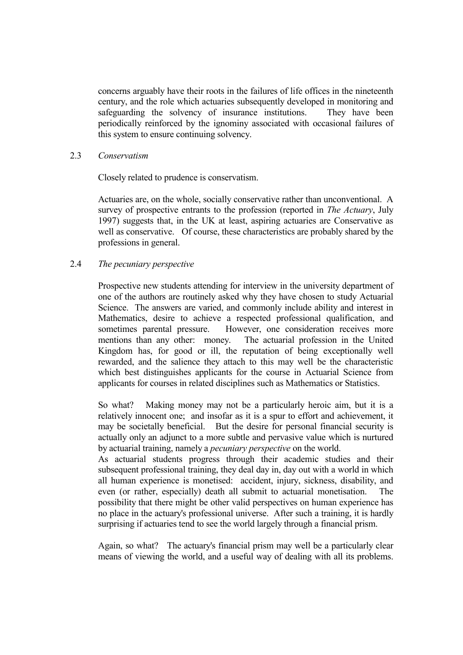concerns arguably have their roots in the failures of life offices in the nineteenth century, and the role which actuaries subsequently developed in monitoring and safeguarding the solvency of insurance institutions. They have been periodically reinforced by the ignominy associated with occasional failures of this system to ensure continuing solvency.

#### 2.3 *Conservatism*

Closely related to prudence is conservatism.

 Actuaries are, on the whole, socially conservative rather than unconventional. A survey of prospective entrants to the profession (reported in *The Actuary*, July 1997) suggests that, in the UK at least, aspiring actuaries are Conservative as well as conservative. Of course, these characteristics are probably shared by the professions in general.

#### 2.4 *The pecuniary perspective*

 Prospective new students attending for interview in the university department of one of the authors are routinely asked why they have chosen to study Actuarial Science. The answers are varied, and commonly include ability and interest in Mathematics, desire to achieve a respected professional qualification, and sometimes parental pressure. However, one consideration receives more mentions than any other: money. The actuarial profession in the United Kingdom has, for good or ill, the reputation of being exceptionally well rewarded, and the salience they attach to this may well be the characteristic which best distinguishes applicants for the course in Actuarial Science from applicants for courses in related disciplines such as Mathematics or Statistics.

 So what? Making money may not be a particularly heroic aim, but it is a relatively innocent one; and insofar as it is a spur to effort and achievement, it may be societally beneficial. But the desire for personal financial security is actually only an adjunct to a more subtle and pervasive value which is nurtured by actuarial training, namely a *pecuniary perspective* on the world.

 As actuarial students progress through their academic studies and their subsequent professional training, they deal day in, day out with a world in which all human experience is monetised: accident, injury, sickness, disability, and even (or rather, especially) death all submit to actuarial monetisation. The possibility that there might be other valid perspectives on human experience has no place in the actuary's professional universe. After such a training, it is hardly surprising if actuaries tend to see the world largely through a financial prism.

 Again, so what? The actuary's financial prism may well be a particularly clear means of viewing the world, and a useful way of dealing with all its problems.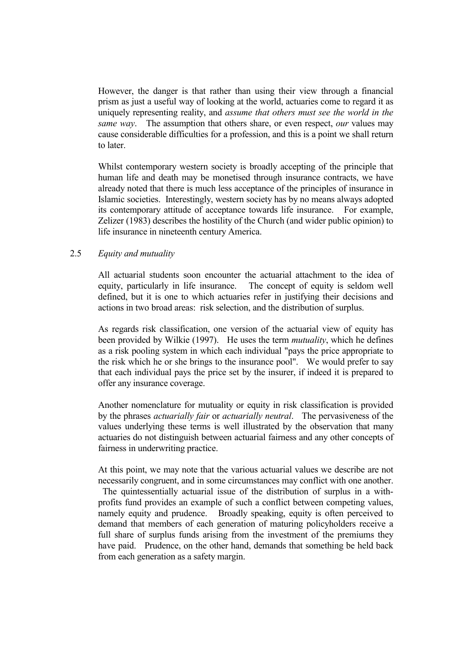However, the danger is that rather than using their view through a financial prism as just a useful way of looking at the world, actuaries come to regard it as uniquely representing reality, and *assume that others must see the world in the same way*. The assumption that others share, or even respect, *our* values may cause considerable difficulties for a profession, and this is a point we shall return to later.

 Whilst contemporary western society is broadly accepting of the principle that human life and death may be monetised through insurance contracts, we have already noted that there is much less acceptance of the principles of insurance in Islamic societies. Interestingly, western society has by no means always adopted its contemporary attitude of acceptance towards life insurance. For example, Zelizer (1983) describes the hostility of the Church (and wider public opinion) to life insurance in nineteenth century America.

#### 2.5 *Equity and mutuality*

 All actuarial students soon encounter the actuarial attachment to the idea of equity, particularly in life insurance. The concept of equity is seldom well defined, but it is one to which actuaries refer in justifying their decisions and actions in two broad areas: risk selection, and the distribution of surplus.

 As regards risk classification, one version of the actuarial view of equity has been provided by Wilkie (1997). He uses the term *mutuality*, which he defines as a risk pooling system in which each individual "pays the price appropriate to the risk which he or she brings to the insurance pool". We would prefer to say that each individual pays the price set by the insurer, if indeed it is prepared to offer any insurance coverage.

 Another nomenclature for mutuality or equity in risk classification is provided by the phrases *actuarially fair* or *actuarially neutral*. The pervasiveness of the values underlying these terms is well illustrated by the observation that many actuaries do not distinguish between actuarial fairness and any other concepts of fairness in underwriting practice.

 At this point, we may note that the various actuarial values we describe are not necessarily congruent, and in some circumstances may conflict with one another. The quintessentially actuarial issue of the distribution of surplus in a withprofits fund provides an example of such a conflict between competing values, namely equity and prudence. Broadly speaking, equity is often perceived to demand that members of each generation of maturing policyholders receive a full share of surplus funds arising from the investment of the premiums they have paid. Prudence, on the other hand, demands that something be held back from each generation as a safety margin.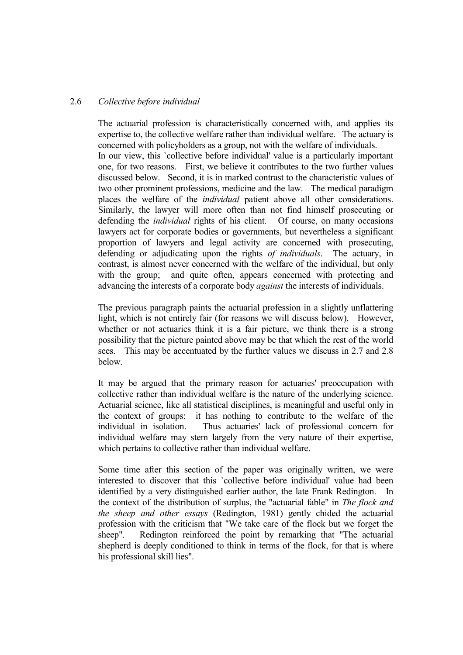#### 2.6 *Collective before individual*

 The actuarial profession is characteristically concerned with, and applies its expertise to, the collective welfare rather than individual welfare. The actuary is concerned with policyholders as a group, not with the welfare of individuals. In our view, this `collective before individual' value is a particularly important one, for two reasons. First, we believe it contributes to the two further values discussed below. Second, it is in marked contrast to the characteristic values of two other prominent professions, medicine and the law. The medical paradigm places the welfare of the *individual* patient above all other considerations. Similarly, the lawyer will more often than not find himself prosecuting or defending the *individual* rights of his client. Of course, on many occasions lawyers act for corporate bodies or governments, but nevertheless a significant proportion of lawyers and legal activity are concerned with prosecuting, defending or adjudicating upon the rights *of individuals*. The actuary, in contrast, is almost never concerned with the welfare of the individual, but only with the group; and quite often, appears concerned with protecting and advancing the interests of a corporate body *against* the interests of individuals.

 The previous paragraph paints the actuarial profession in a slightly unflattering light, which is not entirely fair (for reasons we will discuss below). However, whether or not actuaries think it is a fair picture, we think there is a strong possibility that the picture painted above may be that which the rest of the world sees. This may be accentuated by the further values we discuss in 2.7 and 2.8 below.

 It may be argued that the primary reason for actuaries' preoccupation with collective rather than individual welfare is the nature of the underlying science. Actuarial science, like all statistical disciplines, is meaningful and useful only in the context of groups: it has nothing to contribute to the welfare of the individual in isolation. Thus actuaries' lack of professional concern for individual welfare may stem largely from the very nature of their expertise, which pertains to collective rather than individual welfare.

 Some time after this section of the paper was originally written, we were interested to discover that this `collective before individual' value had been identified by a very distinguished earlier author, the late Frank Redington. the context of the distribution of surplus, the "actuarial fable" in *The flock and the sheep and other essays* (Redington, 1981) gently chided the actuarial profession with the criticism that "We take care of the flock but we forget the sheep". Redington reinforced the point by remarking that "The actuarial shepherd is deeply conditioned to think in terms of the flock, for that is where his professional skill lies".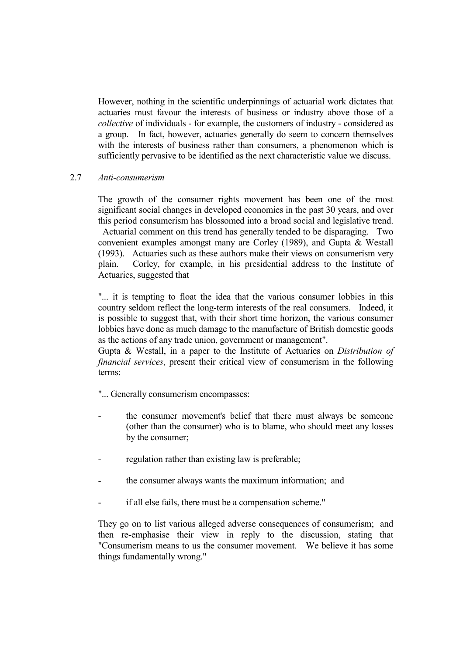However, nothing in the scientific underpinnings of actuarial work dictates that actuaries must favour the interests of business or industry above those of a *collective* of individuals - for example, the customers of industry - considered as a group. In fact, however, actuaries generally do seem to concern themselves with the interests of business rather than consumers, a phenomenon which is sufficiently pervasive to be identified as the next characteristic value we discuss.

#### 2.7 *Anti-consumerism*

 The growth of the consumer rights movement has been one of the most significant social changes in developed economies in the past 30 years, and over this period consumerism has blossomed into a broad social and legislative trend. Actuarial comment on this trend has generally tended to be disparaging. Two convenient examples amongst many are Corley (1989), and Gupta & Westall (1993). Actuaries such as these authors make their views on consumerism very plain. Corley, for example, in his presidential address to the Institute of Actuaries, suggested that

 "... it is tempting to float the idea that the various consumer lobbies in this country seldom reflect the long-term interests of the real consumers. Indeed, it is possible to suggest that, with their short time horizon, the various consumer lobbies have done as much damage to the manufacture of British domestic goods as the actions of any trade union, government or management".

 Gupta & Westall, in a paper to the Institute of Actuaries on *Distribution of financial services*, present their critical view of consumerism in the following terms:

"... Generally consumerism encompasses:

- the consumer movement's belief that there must always be someone (other than the consumer) who is to blame, who should meet any losses by the consumer;
- regulation rather than existing law is preferable;
- the consumer always wants the maximum information; and
- if all else fails, there must be a compensation scheme."

 They go on to list various alleged adverse consequences of consumerism; and then re-emphasise their view in reply to the discussion, stating that "Consumerism means to us the consumer movement. We believe it has some things fundamentally wrong."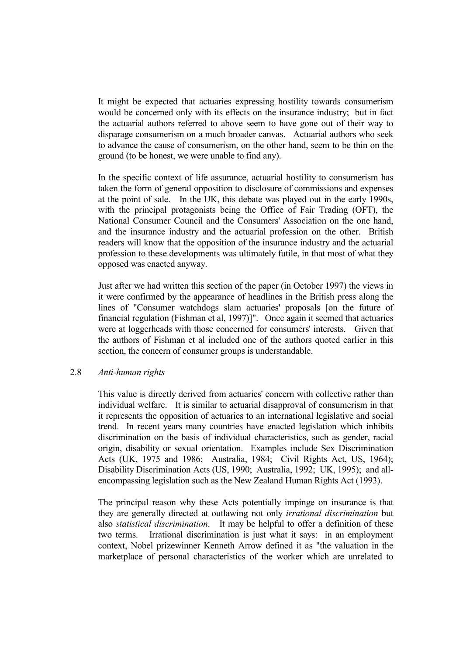It might be expected that actuaries expressing hostility towards consumerism would be concerned only with its effects on the insurance industry; but in fact the actuarial authors referred to above seem to have gone out of their way to disparage consumerism on a much broader canvas. Actuarial authors who seek to advance the cause of consumerism, on the other hand, seem to be thin on the ground (to be honest, we were unable to find any).

 In the specific context of life assurance, actuarial hostility to consumerism has taken the form of general opposition to disclosure of commissions and expenses at the point of sale. In the UK, this debate was played out in the early 1990s, with the principal protagonists being the Office of Fair Trading (OFT), the National Consumer Council and the Consumers' Association on the one hand, and the insurance industry and the actuarial profession on the other. British readers will know that the opposition of the insurance industry and the actuarial profession to these developments was ultimately futile, in that most of what they opposed was enacted anyway.

 Just after we had written this section of the paper (in October 1997) the views in it were confirmed by the appearance of headlines in the British press along the lines of "Consumer watchdogs slam actuaries' proposals [on the future of financial regulation (Fishman et al, 1997)]". Once again it seemed that actuaries were at loggerheads with those concerned for consumers' interests. Given that the authors of Fishman et al included one of the authors quoted earlier in this section, the concern of consumer groups is understandable.

#### 2.8 *Anti-human rights*

 This value is directly derived from actuaries' concern with collective rather than individual welfare. It is similar to actuarial disapproval of consumerism in that it represents the opposition of actuaries to an international legislative and social trend. In recent years many countries have enacted legislation which inhibits discrimination on the basis of individual characteristics, such as gender, racial origin, disability or sexual orientation. Examples include Sex Discrimination Acts (UK, 1975 and 1986; Australia, 1984; Civil Rights Act, US, 1964); Disability Discrimination Acts (US, 1990; Australia, 1992; UK, 1995); and allencompassing legislation such as the New Zealand Human Rights Act (1993).

 The principal reason why these Acts potentially impinge on insurance is that they are generally directed at outlawing not only *irrational discrimination* but also *statistical discrimination*. It may be helpful to offer a definition of these two terms. Irrational discrimination is just what it says: in an employment context, Nobel prizewinner Kenneth Arrow defined it as "the valuation in the marketplace of personal characteristics of the worker which are unrelated to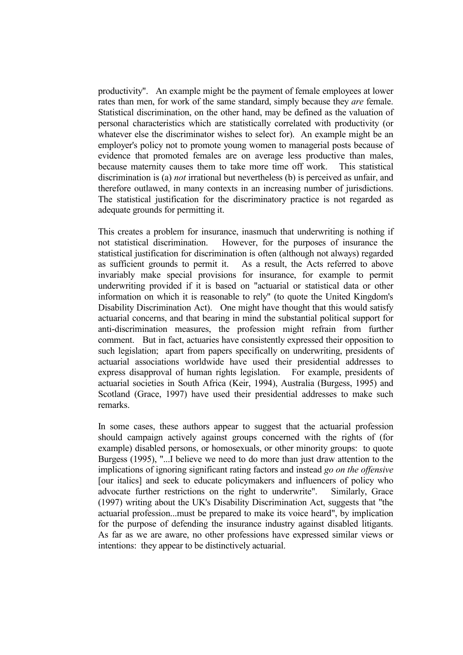productivity". An example might be the payment of female employees at lower rates than men, for work of the same standard, simply because they *are* female. Statistical discrimination, on the other hand, may be defined as the valuation of personal characteristics which are statistically correlated with productivity (or whatever else the discriminator wishes to select for). An example might be an employer's policy not to promote young women to managerial posts because of evidence that promoted females are on average less productive than males, because maternity causes them to take more time off work. This statistical discrimination is (a) *not* irrational but nevertheless (b) is perceived as unfair, and therefore outlawed, in many contexts in an increasing number of jurisdictions. The statistical justification for the discriminatory practice is not regarded as adequate grounds for permitting it.

 This creates a problem for insurance, inasmuch that underwriting is nothing if not statistical discrimination. However, for the purposes of insurance the statistical justification for discrimination is often (although not always) regarded as sufficient grounds to permit it. As a result, the Acts referred to above invariably make special provisions for insurance, for example to permit underwriting provided if it is based on "actuarial or statistical data or other information on which it is reasonable to rely" (to quote the United Kingdom's Disability Discrimination Act). One might have thought that this would satisfy actuarial concerns, and that bearing in mind the substantial political support for anti-discrimination measures, the profession might refrain from further comment. But in fact, actuaries have consistently expressed their opposition to such legislation; apart from papers specifically on underwriting, presidents of actuarial associations worldwide have used their presidential addresses to express disapproval of human rights legislation. For example, presidents of actuarial societies in South Africa (Keir, 1994), Australia (Burgess, 1995) and Scotland (Grace, 1997) have used their presidential addresses to make such remarks.

 In some cases, these authors appear to suggest that the actuarial profession should campaign actively against groups concerned with the rights of (for example) disabled persons, or homosexuals, or other minority groups: to quote Burgess (1995), "...I believe we need to do more than just draw attention to the implications of ignoring significant rating factors and instead *go on the offensive* [our italics] and seek to educate policymakers and influencers of policy who advocate further restrictions on the right to underwrite". Similarly, Grace (1997) writing about the UK's Disability Discrimination Act, suggests that "the actuarial profession...must be prepared to make its voice heard", by implication for the purpose of defending the insurance industry against disabled litigants. As far as we are aware, no other professions have expressed similar views or intentions: they appear to be distinctively actuarial.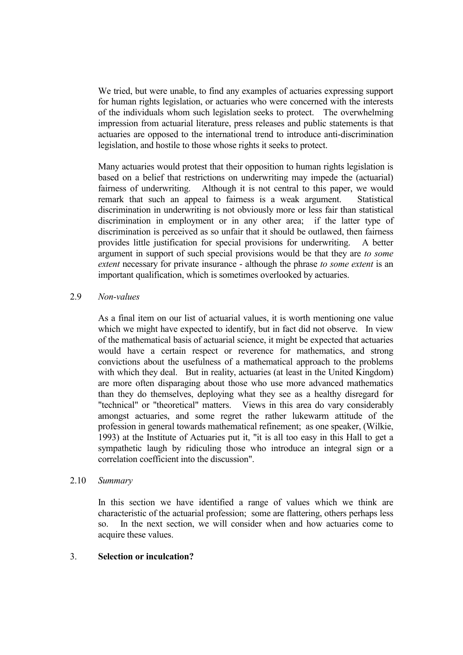We tried, but were unable, to find any examples of actuaries expressing support for human rights legislation, or actuaries who were concerned with the interests of the individuals whom such legislation seeks to protect. The overwhelming impression from actuarial literature, press releases and public statements is that actuaries are opposed to the international trend to introduce anti-discrimination legislation, and hostile to those whose rights it seeks to protect.

 Many actuaries would protest that their opposition to human rights legislation is based on a belief that restrictions on underwriting may impede the (actuarial) fairness of underwriting. Although it is not central to this paper, we would remark that such an appeal to fairness is a weak argument. Statistical discrimination in underwriting is not obviously more or less fair than statistical discrimination in employment or in any other area; if the latter type of discrimination is perceived as so unfair that it should be outlawed, then fairness provides little justification for special provisions for underwriting. A better argument in support of such special provisions would be that they are *to some extent* necessary for private insurance - although the phrase *to some extent* is an important qualification, which is sometimes overlooked by actuaries.

## 2.9 *Non-values*

 As a final item on our list of actuarial values, it is worth mentioning one value which we might have expected to identify, but in fact did not observe. In view of the mathematical basis of actuarial science, it might be expected that actuaries would have a certain respect or reverence for mathematics, and strong convictions about the usefulness of a mathematical approach to the problems with which they deal. But in reality, actuaries (at least in the United Kingdom) are more often disparaging about those who use more advanced mathematics than they do themselves, deploying what they see as a healthy disregard for "technical" or "theoretical" matters. Views in this area do vary considerably amongst actuaries, and some regret the rather lukewarm attitude of the profession in general towards mathematical refinement; as one speaker, (Wilkie, 1993) at the Institute of Actuaries put it, "it is all too easy in this Hall to get a sympathetic laugh by ridiculing those who introduce an integral sign or a correlation coefficient into the discussion".

#### 2.10 *Summary*

 In this section we have identified a range of values which we think are characteristic of the actuarial profession; some are flattering, others perhaps less so. In the next section, we will consider when and how actuaries come to acquire these values.

## 3. **Selection or inculcation?**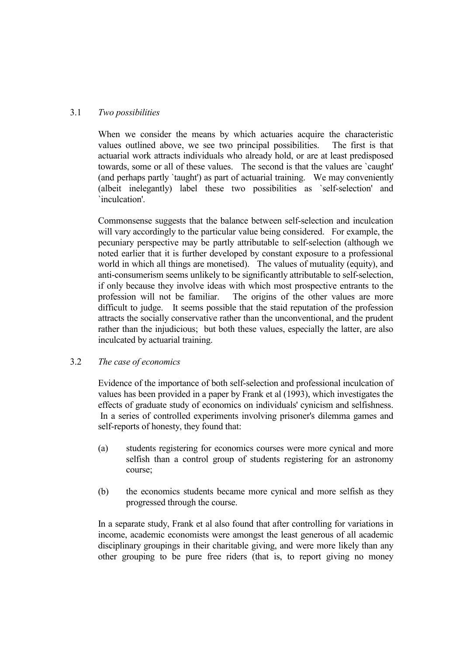## 3.1 *Two possibilities*

 When we consider the means by which actuaries acquire the characteristic values outlined above, we see two principal possibilities. The first is that actuarial work attracts individuals who already hold, or are at least predisposed towards, some or all of these values. The second is that the values are `caught' (and perhaps partly `taught') as part of actuarial training. We may conveniently (albeit inelegantly) label these two possibilities as `self-selection' and `inculcation'.

 Commonsense suggests that the balance between self-selection and inculcation will vary accordingly to the particular value being considered. For example, the pecuniary perspective may be partly attributable to self-selection (although we noted earlier that it is further developed by constant exposure to a professional world in which all things are monetised). The values of mutuality (equity), and anti-consumerism seems unlikely to be significantly attributable to self-selection, if only because they involve ideas with which most prospective entrants to the profession will not be familiar. The origins of the other values are more difficult to judge. It seems possible that the staid reputation of the profession attracts the socially conservative rather than the unconventional, and the prudent rather than the injudicious; but both these values, especially the latter, are also inculcated by actuarial training.

#### 3.2 *The case of economics*

 Evidence of the importance of both self-selection and professional inculcation of values has been provided in a paper by Frank et al (1993), which investigates the effects of graduate study of economics on individuals' cynicism and selfishness. In a series of controlled experiments involving prisoner's dilemma games and self-reports of honesty, they found that:

- (a) students registering for economics courses were more cynical and more selfish than a control group of students registering for an astronomy course;
- (b) the economics students became more cynical and more selfish as they progressed through the course.

 In a separate study, Frank et al also found that after controlling for variations in income, academic economists were amongst the least generous of all academic disciplinary groupings in their charitable giving, and were more likely than any other grouping to be pure free riders (that is, to report giving no money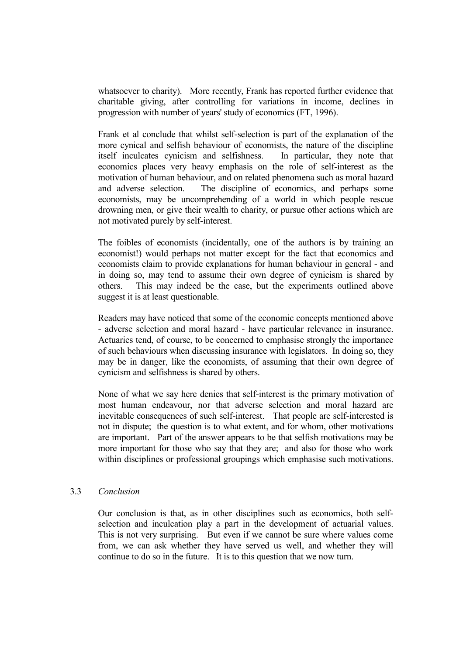whatsoever to charity). More recently, Frank has reported further evidence that charitable giving, after controlling for variations in income, declines in progression with number of years' study of economics (FT, 1996).

 Frank et al conclude that whilst self-selection is part of the explanation of the more cynical and selfish behaviour of economists, the nature of the discipline itself inculcates cynicism and selfishness. In particular, they note that economics places very heavy emphasis on the role of self-interest as the motivation of human behaviour, and on related phenomena such as moral hazard and adverse selection. The discipline of economics, and perhaps some economists, may be uncomprehending of a world in which people rescue drowning men, or give their wealth to charity, or pursue other actions which are not motivated purely by self-interest.

 The foibles of economists (incidentally, one of the authors is by training an economist!) would perhaps not matter except for the fact that economics and economists claim to provide explanations for human behaviour in general - and in doing so, may tend to assume their own degree of cynicism is shared by others. This may indeed be the case, but the experiments outlined above suggest it is at least questionable.

 Readers may have noticed that some of the economic concepts mentioned above - adverse selection and moral hazard - have particular relevance in insurance. Actuaries tend, of course, to be concerned to emphasise strongly the importance of such behaviours when discussing insurance with legislators. In doing so, they may be in danger, like the economists, of assuming that their own degree of cynicism and selfishness is shared by others.

 None of what we say here denies that self-interest is the primary motivation of most human endeavour, nor that adverse selection and moral hazard are inevitable consequences of such self-interest. That people are self-interested is not in dispute; the question is to what extent, and for whom, other motivations are important. Part of the answer appears to be that selfish motivations may be more important for those who say that they are; and also for those who work within disciplines or professional groupings which emphasise such motivations.

#### 3.3 *Conclusion*

 Our conclusion is that, as in other disciplines such as economics, both selfselection and inculcation play a part in the development of actuarial values. This is not very surprising. But even if we cannot be sure where values come from, we can ask whether they have served us well, and whether they will continue to do so in the future. It is to this question that we now turn.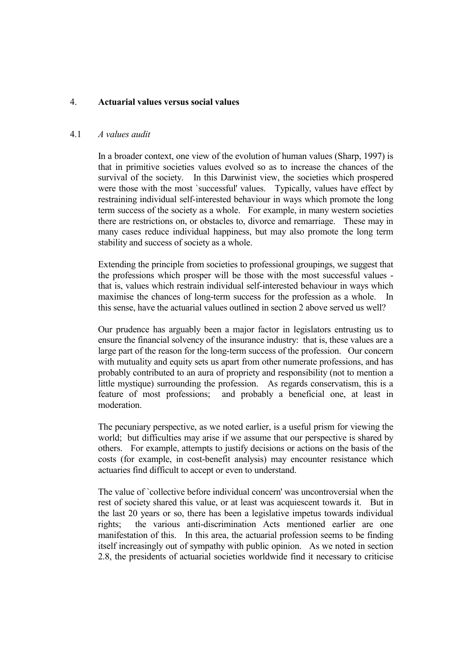#### 4. **Actuarial values versus social values**

#### 4.1 *A values audit*

 In a broader context, one view of the evolution of human values (Sharp, 1997) is that in primitive societies values evolved so as to increase the chances of the survival of the society. In this Darwinist view, the societies which prospered were those with the most `successful' values. Typically, values have effect by restraining individual self-interested behaviour in ways which promote the long term success of the society as a whole. For example, in many western societies there are restrictions on, or obstacles to, divorce and remarriage. These may in many cases reduce individual happiness, but may also promote the long term stability and success of society as a whole.

 Extending the principle from societies to professional groupings, we suggest that the professions which prosper will be those with the most successful values that is, values which restrain individual self-interested behaviour in ways which maximise the chances of long-term success for the profession as a whole. In this sense, have the actuarial values outlined in section 2 above served us well?

 Our prudence has arguably been a major factor in legislators entrusting us to ensure the financial solvency of the insurance industry: that is, these values are a large part of the reason for the long-term success of the profession. Our concern with mutuality and equity sets us apart from other numerate professions, and has probably contributed to an aura of propriety and responsibility (not to mention a little mystique) surrounding the profession. As regards conservatism, this is a feature of most professions; and probably a beneficial one, at least in moderation.

 The pecuniary perspective, as we noted earlier, is a useful prism for viewing the world; but difficulties may arise if we assume that our perspective is shared by others. For example, attempts to justify decisions or actions on the basis of the costs (for example, in cost-benefit analysis) may encounter resistance which actuaries find difficult to accept or even to understand.

 The value of `collective before individual concern' was uncontroversial when the rest of society shared this value, or at least was acquiescent towards it. But in the last 20 years or so, there has been a legislative impetus towards individual rights; the various anti-discrimination Acts mentioned earlier are one manifestation of this. In this area, the actuarial profession seems to be finding itself increasingly out of sympathy with public opinion. As we noted in section 2.8, the presidents of actuarial societies worldwide find it necessary to criticise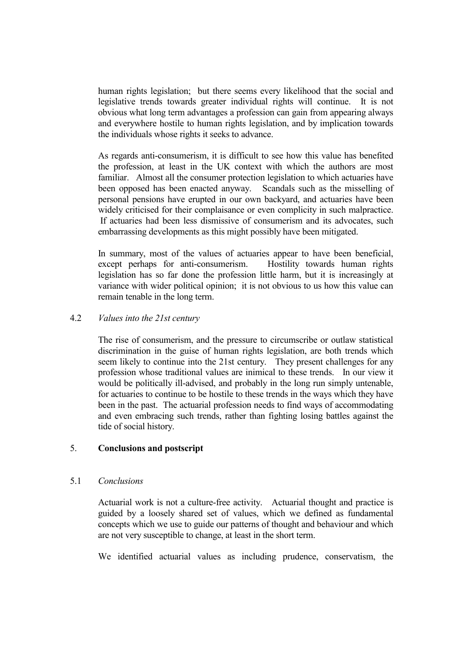human rights legislation; but there seems every likelihood that the social and legislative trends towards greater individual rights will continue. It is not obvious what long term advantages a profession can gain from appearing always and everywhere hostile to human rights legislation, and by implication towards the individuals whose rights it seeks to advance.

 As regards anti-consumerism, it is difficult to see how this value has benefited the profession, at least in the UK context with which the authors are most familiar. Almost all the consumer protection legislation to which actuaries have been opposed has been enacted anyway. Scandals such as the misselling of personal pensions have erupted in our own backyard, and actuaries have been widely criticised for their complaisance or even complicity in such malpractice. If actuaries had been less dismissive of consumerism and its advocates, such embarrassing developments as this might possibly have been mitigated.

 In summary, most of the values of actuaries appear to have been beneficial, except perhaps for anti-consumerism. Hostility towards human rights legislation has so far done the profession little harm, but it is increasingly at variance with wider political opinion; it is not obvious to us how this value can remain tenable in the long term.

#### 4.2 *Values into the 21st century*

 The rise of consumerism, and the pressure to circumscribe or outlaw statistical discrimination in the guise of human rights legislation, are both trends which seem likely to continue into the 21st century. They present challenges for any profession whose traditional values are inimical to these trends. In our view it would be politically ill-advised, and probably in the long run simply untenable, for actuaries to continue to be hostile to these trends in the ways which they have been in the past. The actuarial profession needs to find ways of accommodating and even embracing such trends, rather than fighting losing battles against the tide of social history.

## 5. **Conclusions and postscript**

#### 5.1 *Conclusions*

 Actuarial work is not a culture-free activity. Actuarial thought and practice is guided by a loosely shared set of values, which we defined as fundamental concepts which we use to guide our patterns of thought and behaviour and which are not very susceptible to change, at least in the short term.

We identified actuarial values as including prudence, conservatism, the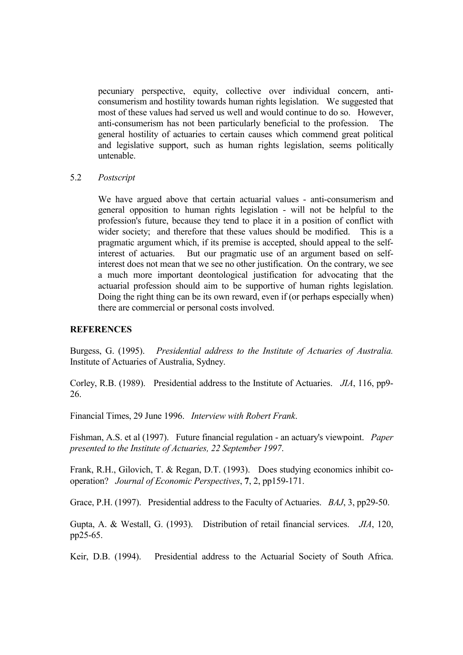pecuniary perspective, equity, collective over individual concern, anticonsumerism and hostility towards human rights legislation. We suggested that most of these values had served us well and would continue to do so. However, anti-consumerism has not been particularly beneficial to the profession. The general hostility of actuaries to certain causes which commend great political and legislative support, such as human rights legislation, seems politically untenable.

#### 5.2 *Postscript*

 We have argued above that certain actuarial values - anti-consumerism and general opposition to human rights legislation - will not be helpful to the profession's future, because they tend to place it in a position of conflict with wider society; and therefore that these values should be modified. This is a pragmatic argument which, if its premise is accepted, should appeal to the selfinterest of actuaries. But our pragmatic use of an argument based on selfinterest does not mean that we see no other justification. On the contrary, we see a much more important deontological justification for advocating that the actuarial profession should aim to be supportive of human rights legislation. Doing the right thing can be its own reward, even if (or perhaps especially when) there are commercial or personal costs involved.

#### **REFERENCES**

Burgess, G. (1995). *Presidential address to the Institute of Actuaries of Australia.* Institute of Actuaries of Australia, Sydney.

Corley, R.B. (1989). Presidential address to the Institute of Actuaries. *JIA*, 116, pp9- 26.

Financial Times, 29 June 1996. *Interview with Robert Frank*.

Fishman, A.S. et al (1997). Future financial regulation - an actuary's viewpoint. *Paper presented to the Institute of Actuaries, 22 September 1997*.

Frank, R.H., Gilovich, T. & Regan, D.T. (1993). Does studying economics inhibit cooperation? *Journal of Economic Perspectives*, **7**, 2, pp159-171.

Grace, P.H. (1997). Presidential address to the Faculty of Actuaries. *BAJ*, 3, pp29-50.

Gupta, A. & Westall, G. (1993). Distribution of retail financial services. *JIA*, 120, pp25-65.

Keir, D.B. (1994). Presidential address to the Actuarial Society of South Africa.